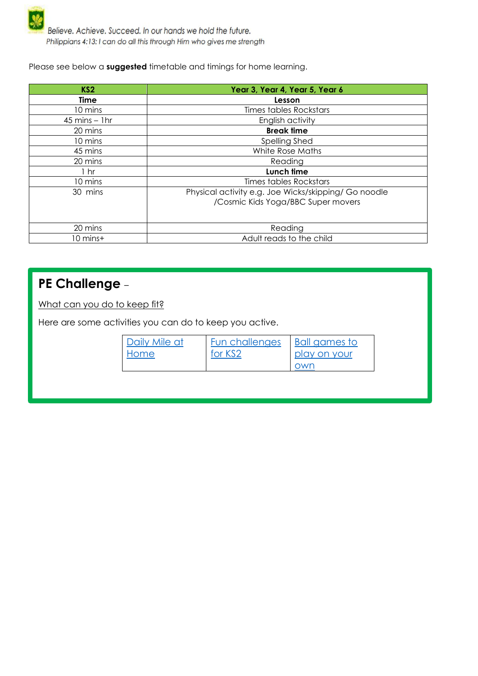

Believe. Achieve. Succeed. In our hands we hold the future. Philippians 4:13: I can do all this through Him who gives me strength

Please see below a **suggested** timetable and timings for home learning.

| KS <sub>2</sub>   | Year 3, Year 4, Year 5, Year 6                       |  |
|-------------------|------------------------------------------------------|--|
| Time              | Lesson                                               |  |
| 10 mins           | <b>Times tables Rockstars</b>                        |  |
| $45$ mins $-1$ hr | English activity                                     |  |
| 20 mins           | <b>Break time</b>                                    |  |
| 10 mins           | Spelling Shed                                        |  |
| 45 mins           | White Rose Maths                                     |  |
| 20 mins           | Reading                                              |  |
| 1 <sub>hr</sub>   | Lunch time                                           |  |
| 10 mins           | Times tables Rockstars                               |  |
| 30 mins           | Physical activity e.g. Joe Wicks/skipping/ Go noodle |  |
|                   | /Cosmic Kids Yoga/BBC Super movers                   |  |
|                   |                                                      |  |
| 20 mins           | Reading                                              |  |
| 10 mins+          | Adult reads to the child                             |  |

## **PE Challenge** –

What can you do to keep fit?

Here are some activities you can do to keep you active.

| Daily Mile at | Fun challenges | Ball games to |
|---------------|----------------|---------------|
| Home          | for KS2        | play on your  |
|               |                | own           |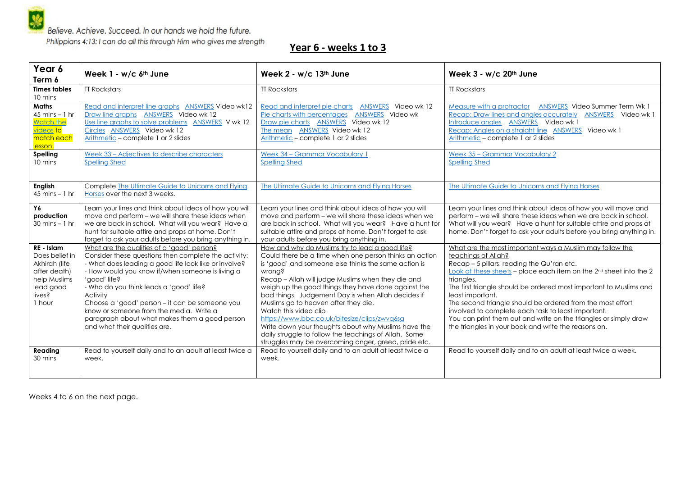Believe. Achieve. Succeed. In our hands we hold the future.

Philippians 4:13: I can do all this through Him who gives me strength

## **Year 6 - weeks 1 to 3**

| Year 6<br>Term 6                                                                                               | Week 1 - w/c 6th June                                                                                                                                                                                                                                                                                                                                                                                                                                                 | Week 2 - w/c 13th June                                                                                                                                                                                                                                                                                                                                                                                                                                                                                                                                                                                                                  | Week 3 - w/c 20th June                                                                                                                                                                                                                                                                                                                                                                                                                                                                                                                                                  |
|----------------------------------------------------------------------------------------------------------------|-----------------------------------------------------------------------------------------------------------------------------------------------------------------------------------------------------------------------------------------------------------------------------------------------------------------------------------------------------------------------------------------------------------------------------------------------------------------------|-----------------------------------------------------------------------------------------------------------------------------------------------------------------------------------------------------------------------------------------------------------------------------------------------------------------------------------------------------------------------------------------------------------------------------------------------------------------------------------------------------------------------------------------------------------------------------------------------------------------------------------------|-------------------------------------------------------------------------------------------------------------------------------------------------------------------------------------------------------------------------------------------------------------------------------------------------------------------------------------------------------------------------------------------------------------------------------------------------------------------------------------------------------------------------------------------------------------------------|
| <b>Times tables</b><br>10 mins                                                                                 | <b>TT Rockstars</b>                                                                                                                                                                                                                                                                                                                                                                                                                                                   | <b>TT Rockstars</b>                                                                                                                                                                                                                                                                                                                                                                                                                                                                                                                                                                                                                     | <b>TT Rockstars</b>                                                                                                                                                                                                                                                                                                                                                                                                                                                                                                                                                     |
| <b>Maths</b><br>$45 \text{ mins} - 1 \text{ hr}$<br>Watch the<br><u>videos</u> to<br>match each<br>lesson.     | Read and interpret line graphs ANSWERS Video wk12<br>Draw line graphs ANSWERS Video wk 12<br>Use line graphs to solve problems ANSWERS V wk 12<br>Circles ANSWERS Video wk 12<br>Arithmetic - complete 1 or 2 slides                                                                                                                                                                                                                                                  | Read and interpret pie charts ANSWERS Video wk 12<br>Pie charts with percentages ANSWERS Video wk<br>Draw pie charts ANSWERS Video wk 12<br>The mean ANSWERS Video wk 12<br>Arithmetic – complete 1 or 2 slides                                                                                                                                                                                                                                                                                                                                                                                                                         | Measure with a protractor<br>ANSWERS Video Summer Term Wk 1<br>Recap: Draw lines and angles accurately ANSWERS Video wk 1<br>Introduce angles ANSWERS Video wk 1<br>Recap: Angles on a straight line ANSWERS Video wk 1<br>Arithmetic - complete 1 or 2 slides                                                                                                                                                                                                                                                                                                          |
| <b>Spelling</b><br>10 mins                                                                                     | Week 33 - Adjectives to describe characters<br><b>Spelling Shed</b>                                                                                                                                                                                                                                                                                                                                                                                                   | Week 34 - Grammar Vocabulary 1<br><b>Spelling Shed</b>                                                                                                                                                                                                                                                                                                                                                                                                                                                                                                                                                                                  | Week 35 - Grammar Vocabulary 2<br><b>Spelling Shed</b>                                                                                                                                                                                                                                                                                                                                                                                                                                                                                                                  |
| <b>English</b><br>$45 \text{ mins} - 1 \text{ hr}$                                                             | Complete The Ultimate Guide to Unicorns and Flying<br>Horses over the next 3 weeks.                                                                                                                                                                                                                                                                                                                                                                                   | The Ultimate Guide to Unicorns and Flying Horses                                                                                                                                                                                                                                                                                                                                                                                                                                                                                                                                                                                        | The Ultimate Guide to Unicorns and Flying Horses                                                                                                                                                                                                                                                                                                                                                                                                                                                                                                                        |
| Y6<br>production<br>$30 \text{ mins} - 1 \text{ hr}$                                                           | Learn your lines and think about ideas of how you will<br>move and perform - we will share these ideas when<br>we are back in school. What will you wear? Have a<br>hunt for suitable attire and props at home. Don't<br>forget to ask your adults before you bring anything in.                                                                                                                                                                                      | Learn your lines and think about ideas of how you will<br>move and perform - we will share these ideas when we<br>are back in school. What will you wear? Have a hunt for<br>suitable attire and props at home. Don't forget to ask<br>your adults before you bring anything in.                                                                                                                                                                                                                                                                                                                                                        | Learn your lines and think about ideas of how you will move and<br>perform - we will share these ideas when we are back in school.<br>What will you wear? Have a hunt for suitable attire and props at<br>home. Don't forget to ask your adults before you bring anything in.                                                                                                                                                                                                                                                                                           |
| RE - Islam<br>Does belief in<br>Akhirah (life<br>after death)<br>help Muslims<br>lead good<br>lives?<br>1 hour | What are the aualities of a 'aood' person?<br>Consider these questions then complete the activity:<br>- What does leading a good life look like or involve?<br>- How would you know if/when someone is living a<br>'good' life?<br>- Who do you think leads a 'good' life?<br>Activity<br>Choose a 'good' person - it can be someone you<br>know or someone from the media. Write a<br>paragraph about what makes them a good person<br>and what their qualities are. | How and why do Muslims try to lead a good life?<br>Could there be a time when one person thinks an action<br>is 'good' and someone else thinks the same action is<br>wrong?<br>Recap - Allah will judge Muslims when they die and<br>weigh up the good things they have done against the<br>bad things. Judgement Day is when Allah decides if<br>Muslims go to heaven after they die.<br>Watch this video clip<br>https://www.bbc.co.uk/bitesize/clips/zwyq6sq<br>Write down your thoughts about why Muslims have the<br>daily struggle to follow the teachings of Allah. Some<br>struggles may be overcoming anger, greed, pride etc. | What are the most important ways a Muslim may follow the<br>teachings of Allah?<br>Recap - 5 pillars, reading the Qu'ran etc.<br>Look at these sheets - place each item on the 2 <sup>nd</sup> sheet into the 2<br>triangles.<br>The first triangle should be ordered most important to Muslims and<br>least important.<br>The second triangle should be ordered from the most effort<br>involved to complete each task to least important.<br>You can print them out and write on the triangles or simply draw<br>the triangles in your book and write the reasons on. |
| Reading<br>30 mins                                                                                             | Read to yourself daily and to an adult at least twice a<br>week.                                                                                                                                                                                                                                                                                                                                                                                                      | Read to yourself daily and to an adult at least twice a<br>week.                                                                                                                                                                                                                                                                                                                                                                                                                                                                                                                                                                        | Read to yourself daily and to an adult at least twice a week.                                                                                                                                                                                                                                                                                                                                                                                                                                                                                                           |

Weeks 4 to 6 on the next page.